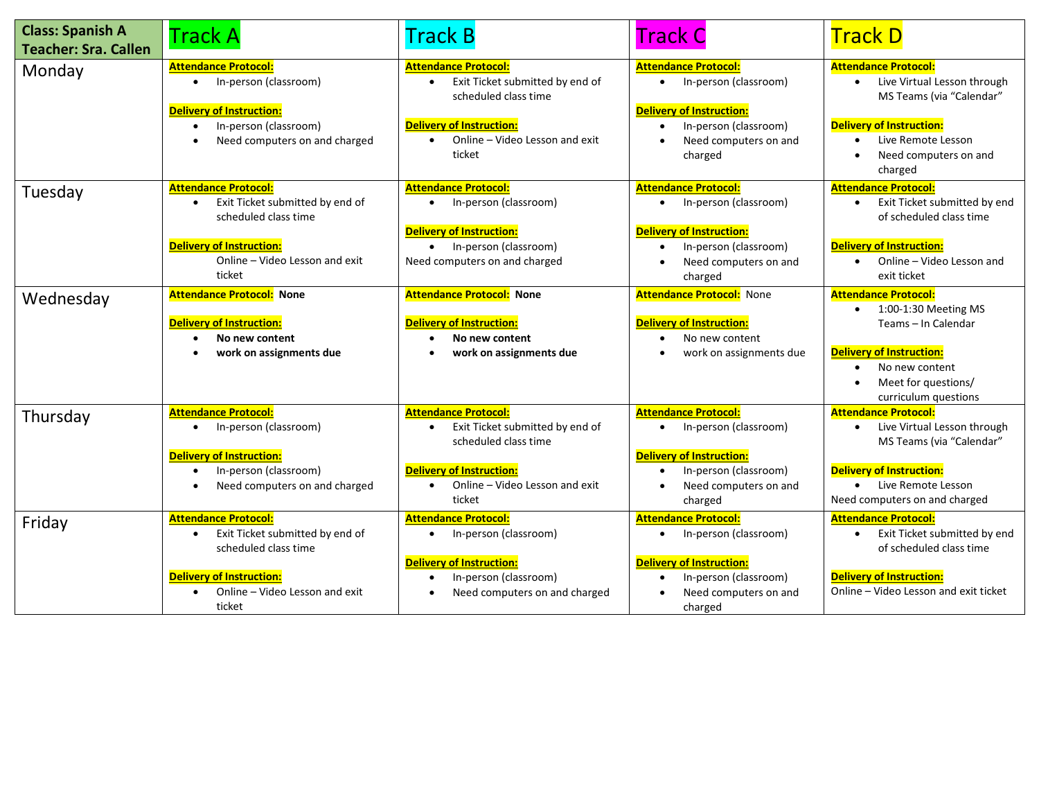| <b>Class: Spanish A</b><br><b>Teacher: Sra. Callen</b> | Track A                                                                                                                                                                            | Track B                                                                                                                                                                            | Track C                                                                                                                                                                        | <b>Track D</b>                                                                                                                                                                                     |
|--------------------------------------------------------|------------------------------------------------------------------------------------------------------------------------------------------------------------------------------------|------------------------------------------------------------------------------------------------------------------------------------------------------------------------------------|--------------------------------------------------------------------------------------------------------------------------------------------------------------------------------|----------------------------------------------------------------------------------------------------------------------------------------------------------------------------------------------------|
| Monday                                                 | <b>Attendance Protocol:</b><br>In-person (classroom)<br>$\bullet$<br><b>Delivery of Instruction:</b><br>In-person (classroom)<br>$\bullet$<br>Need computers on and charged        | <b>Attendance Protocol:</b><br>Exit Ticket submitted by end of<br>scheduled class time<br><b>Delivery of Instruction:</b><br>Online - Video Lesson and exit<br>$\bullet$<br>ticket | <b>Attendance Protocol:</b><br>In-person (classroom)<br>$\bullet$<br><b>Delivery of Instruction:</b><br>In-person (classroom)<br>Need computers on and<br>charged              | <b>Attendance Protocol:</b><br>• Live Virtual Lesson through<br>MS Teams (via "Calendar"<br><b>Delivery of Instruction:</b><br>Live Remote Lesson<br>$\bullet$<br>Need computers on and<br>charged |
| Tuesday                                                | <b>Attendance Protocol:</b><br>Exit Ticket submitted by end of<br>$\bullet$<br>scheduled class time<br><b>Delivery of Instruction:</b><br>Online - Video Lesson and exit<br>ticket | <b>Attendance Protocol:</b><br>• In-person (classroom)<br><b>Delivery of Instruction:</b><br>• In-person (classroom)<br>Need computers on and charged                              | <b>Attendance Protocol:</b><br>In-person (classroom)<br>$\bullet$<br><b>Delivery of Instruction:</b><br>In-person (classroom)<br>$\bullet$<br>Need computers on and<br>charged | <b>Attendance Protocol:</b><br>Exit Ticket submitted by end<br>$\bullet$<br>of scheduled class time<br><b>Delivery of Instruction:</b><br>Online - Video Lesson and<br>exit ticket                 |
| Wednesday                                              | <b>Attendance Protocol: None</b><br><b>Delivery of Instruction:</b><br>No new content<br>work on assignments due                                                                   | <b>Attendance Protocol: None</b><br><b>Delivery of Instruction:</b><br>No new content<br>work on assignments due                                                                   | <b>Attendance Protocol: None</b><br><b>Delivery of Instruction:</b><br>No new content<br>work on assignments due                                                               | <b>Attendance Protocol:</b><br>1:00-1:30 Meeting MS<br>Teams - In Calendar<br><b>Delivery of Instruction:</b><br>No new content<br>Meet for questions/<br>curriculum questions                     |
| Thursday                                               | <b>Attendance Protocol:</b><br>In-person (classroom)<br>$\bullet$<br><b>Delivery of Instruction:</b><br>In-person (classroom)<br>$\bullet$<br>Need computers on and charged        | <b>Attendance Protocol:</b><br>Exit Ticket submitted by end of<br>scheduled class time<br><b>Delivery of Instruction:</b><br>Online - Video Lesson and exit<br>ticket              | <b>Attendance Protocol:</b><br>In-person (classroom)<br>$\bullet$<br><b>Delivery of Instruction:</b><br>In-person (classroom)<br>Need computers on and<br>charged              | <b>Attendance Protocol:</b><br>• Live Virtual Lesson through<br>MS Teams (via "Calendar"<br><b>Delivery of Instruction:</b><br>• Live Remote Lesson<br>Need computers on and charged               |
| Friday                                                 | <b>Attendance Protocol:</b><br>Exit Ticket submitted by end of<br>scheduled class time<br><b>Delivery of Instruction:</b><br>Online - Video Lesson and exit<br>ticket              | <b>Attendance Protocol:</b><br>• In-person (classroom)<br><b>Delivery of Instruction:</b><br>In-person (classroom)<br>Need computers on and charged                                | <b>Attendance Protocol:</b><br>In-person (classroom)<br>$\bullet$<br><b>Delivery of Instruction:</b><br>In-person (classroom)<br>Need computers on and<br>charged              | <b>Attendance Protocol:</b><br>• Exit Ticket submitted by end<br>of scheduled class time<br><b>Delivery of Instruction:</b><br>Online - Video Lesson and exit ticket                               |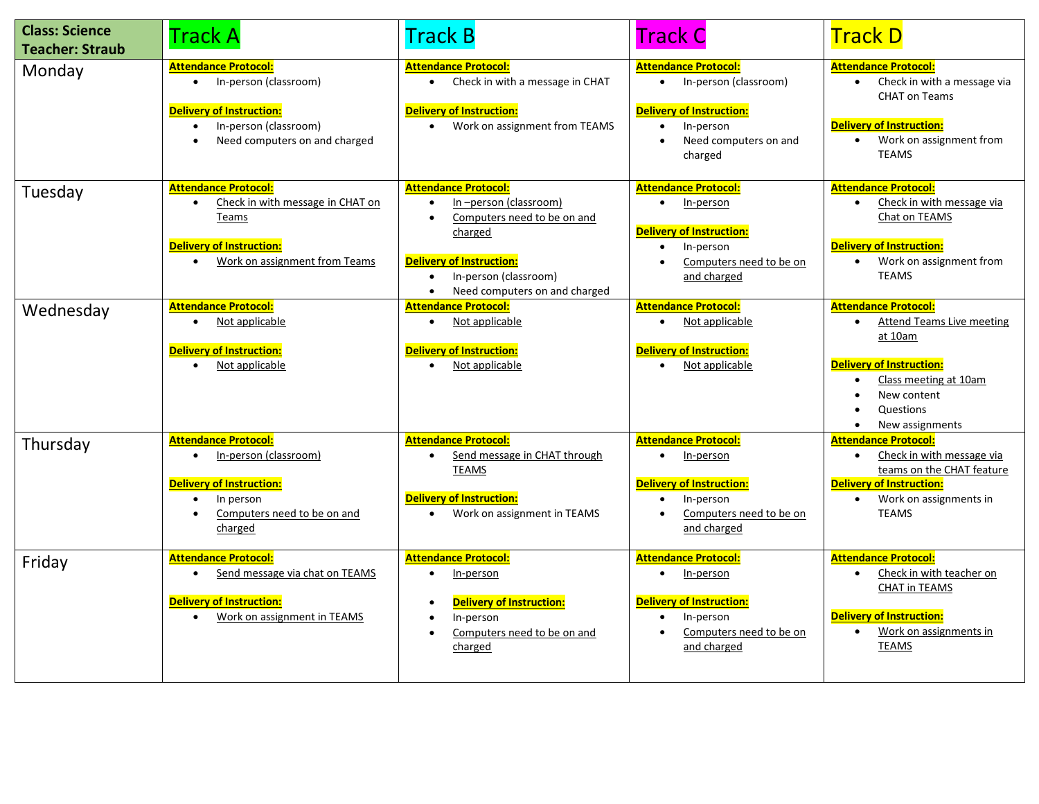| <b>Class: Science</b><br><b>Teacher: Straub</b> | <b>Track A</b>                                                                                                                                                                | <b>Track B</b>                                                                                                                                                                                           | <b>Track C</b>                                                                                                                                          | <b>Track D</b>                                                                                                                                                                                     |
|-------------------------------------------------|-------------------------------------------------------------------------------------------------------------------------------------------------------------------------------|----------------------------------------------------------------------------------------------------------------------------------------------------------------------------------------------------------|---------------------------------------------------------------------------------------------------------------------------------------------------------|----------------------------------------------------------------------------------------------------------------------------------------------------------------------------------------------------|
| Monday                                          | <b>Attendance Protocol:</b><br>• In-person (classroom)<br><b>Delivery of Instruction:</b><br>In-person (classroom)<br>$\bullet$<br>Need computers on and charged<br>$\bullet$ | <b>Attendance Protocol:</b><br>Check in with a message in CHAT<br><b>Delivery of Instruction:</b><br>Work on assignment from TEAMS                                                                       | <b>Attendance Protocol:</b><br>• In-person (classroom)<br><b>Delivery of Instruction:</b><br>In-person<br>Need computers on and<br>$\bullet$<br>charged | <b>Attendance Protocol:</b><br>Check in with a message via<br><b>CHAT on Teams</b><br><b>Delivery of Instruction:</b><br>Work on assignment from<br>$\bullet$<br><b>TEAMS</b>                      |
| Tuesday                                         | <b>Attendance Protocol:</b><br>Check in with message in CHAT on<br>$\bullet$<br>Teams<br><b>Delivery of Instruction:</b><br>Work on assignment from Teams<br>$\bullet$        | <b>Attendance Protocol:</b><br>In-person (classroom)<br>Computers need to be on and<br>charged<br><b>Delivery of Instruction:</b><br>In-person (classroom)<br>Need computers on and charged<br>$\bullet$ | <b>Attendance Protocol:</b><br>In-person<br>$\bullet$<br>Delivery of Instruction:<br>In-person<br>$\bullet$<br>Computers need to be on<br>and charged   | <b>Attendance Protocol:</b><br>Check in with message via<br>Chat on TEAMS<br><b>Delivery of Instruction:</b><br>Work on assignment from<br><b>TEAMS</b>                                            |
| Wednesday                                       | <b>Attendance Protocol:</b><br>Not applicable<br><b>Delivery of Instruction:</b><br>Not applicable                                                                            | <b>Attendance Protocol:</b><br>Not applicable<br><b>Delivery of Instruction:</b><br>Not applicable                                                                                                       | <b>Attendance Protocol:</b><br>Not applicable<br><b>Delivery of Instruction:</b><br>Not applicable                                                      | <b>Attendance Protocol:</b><br><b>Attend Teams Live meeting</b><br>at 10am<br><b>Delivery of Instruction:</b><br>Class meeting at 10am<br>$\bullet$<br>New content<br>Questions<br>New assignments |
| Thursday                                        | <b>Attendance Protocol:</b><br>In-person (classroom)<br>$\bullet$<br><b>Delivery of Instruction:</b><br>In person<br>Computers need to be on and<br>charged                   | <b>Attendance Protocol:</b><br>Send message in CHAT through<br><b>TEAMS</b><br><b>Delivery of Instruction:</b><br>Work on assignment in TEAMS<br>$\bullet$                                               | <b>Attendance Protocol:</b><br>In-person<br><b>Delivery of Instruction:</b><br>In-person<br>Computers need to be on<br>and charged                      | <b>Attendance Protocol:</b><br>Check in with message via<br>$\bullet$<br>teams on the CHAT feature<br><b>Delivery of Instruction:</b><br>Work on assignments in<br><b>TEAMS</b>                    |
| Friday                                          | <b>Attendance Protocol:</b><br>Send message via chat on TEAMS<br>$\bullet$<br><b>Delivery of Instruction:</b><br>Work on assignment in TEAMS<br>$\bullet$                     | <b>Attendance Protocol:</b><br>In-person<br><b>Delivery of Instruction:</b><br>In-person<br>Computers need to be on and<br>charged                                                                       | <b>Attendance Protocol:</b><br>In-person<br><b>Delivery of Instruction:</b><br>In-person<br>Computers need to be on<br>and charged                      | <b>Attendance Protocol:</b><br>Check in with teacher on<br><b>CHAT in TEAMS</b><br><b>Delivery of Instruction:</b><br>Work on assignments in<br><b>TEAMS</b>                                       |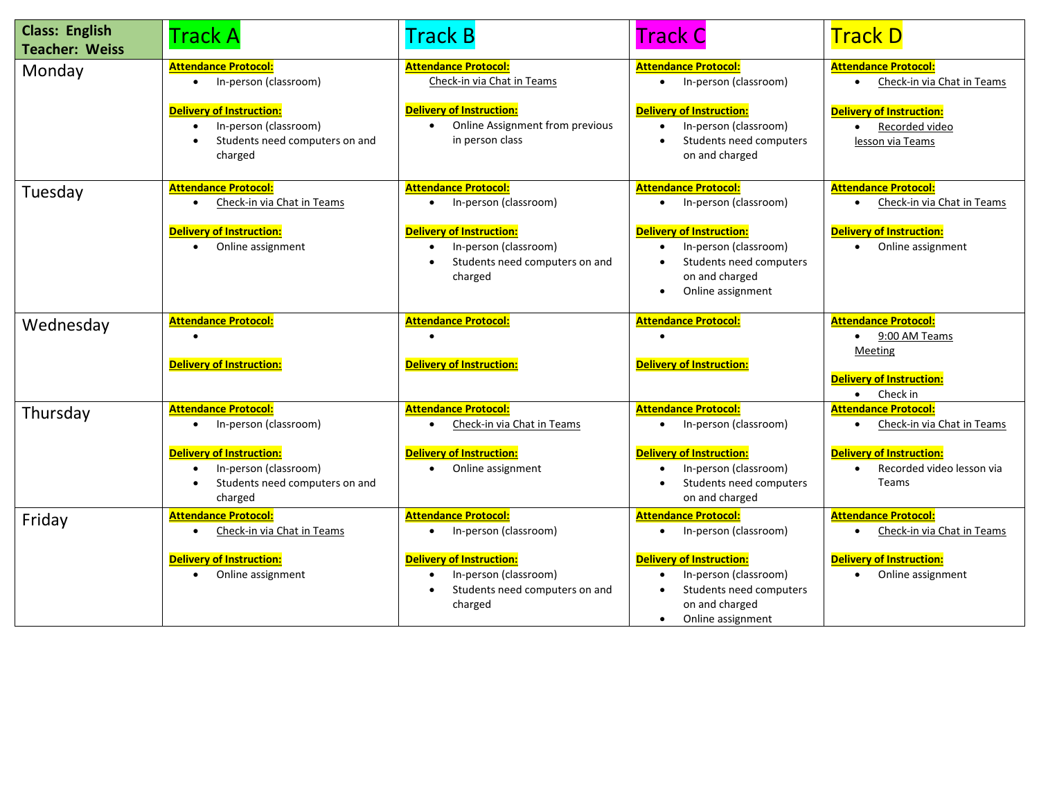| <b>Class: English</b><br><b>Teacher: Weiss</b> | <b>Track A</b>                                                                                                                                                               | <b>Track B</b>                                                                                                                                                | <b>Track C</b>                                                                                                                                                                     | <b>Track D</b>                                                                                                                                  |
|------------------------------------------------|------------------------------------------------------------------------------------------------------------------------------------------------------------------------------|---------------------------------------------------------------------------------------------------------------------------------------------------------------|------------------------------------------------------------------------------------------------------------------------------------------------------------------------------------|-------------------------------------------------------------------------------------------------------------------------------------------------|
| Monday                                         | <b>Attendance Protocol:</b><br>• In-person (classroom)<br><b>Delivery of Instruction:</b><br>In-person (classroom)<br>$\bullet$<br>Students need computers on and<br>charged | <b>Attendance Protocol:</b><br>Check-in via Chat in Teams<br><b>Delivery of Instruction:</b><br>Online Assignment from previous<br>in person class            | <b>Attendance Protocol:</b><br>• In-person (classroom)<br><b>Delivery of Instruction:</b><br>In-person (classroom)<br>Students need computers<br>on and charged                    | <b>Attendance Protocol:</b><br>Check-in via Chat in Teams<br>$\bullet$<br><b>Delivery of Instruction:</b><br>Recorded video<br>lesson via Teams |
| Tuesday                                        | <b>Attendance Protocol:</b><br>Check-in via Chat in Teams<br>$\bullet$<br><b>Delivery of Instruction:</b><br>Online assignment<br>$\bullet$                                  | <b>Attendance Protocol:</b><br>In-person (classroom)<br><b>Delivery of Instruction:</b><br>In-person (classroom)<br>Students need computers on and<br>charged | <b>Attendance Protocol:</b><br>In-person (classroom)<br><b>Delivery of Instruction:</b><br>In-person (classroom)<br>Students need computers<br>on and charged<br>Online assignment | <b>Attendance Protocol:</b><br>Check-in via Chat in Teams<br>$\bullet$<br><b>Delivery of Instruction:</b><br>Online assignment                  |
| Wednesday                                      | <b>Attendance Protocol:</b><br><b>Delivery of Instruction:</b>                                                                                                               | <b>Attendance Protocol:</b><br><b>Delivery of Instruction:</b>                                                                                                | <b>Attendance Protocol:</b><br><b>Delivery of Instruction:</b>                                                                                                                     | <b>Attendance Protocol:</b><br>9:00 AM Teams<br>Meeting<br><b>Delivery of Instruction:</b><br>Check in<br>$\bullet$                             |
| Thursday                                       | <b>Attendance Protocol:</b><br>In-person (classroom)<br><b>Delivery of Instruction:</b><br>In-person (classroom)<br>$\bullet$<br>Students need computers on and<br>charged   | <b>Attendance Protocol:</b><br>Check-in via Chat in Teams<br><b>Delivery of Instruction:</b><br>Online assignment                                             | <b>Attendance Protocol:</b><br>In-person (classroom)<br><b>Delivery of Instruction:</b><br>In-person (classroom)<br>Students need computers<br>on and charged                      | <b>Attendance Protocol:</b><br>Check-in via Chat in Teams<br><b>Delivery of Instruction:</b><br>Recorded video lesson via<br>$\bullet$<br>Teams |
| Friday                                         | <b>Attendance Protocol:</b><br>Check-in via Chat in Teams<br>$\bullet$<br><b>Delivery of Instruction:</b><br>Online assignment<br>$\bullet$                                  | <b>Attendance Protocol:</b><br>In-person (classroom)<br><b>Delivery of Instruction:</b><br>In-person (classroom)<br>Students need computers on and<br>charged | <b>Attendance Protocol:</b><br>In-person (classroom)<br><b>Delivery of Instruction:</b><br>In-person (classroom)<br>Students need computers<br>on and charged<br>Online assignment | <b>Attendance Protocol:</b><br>Check-in via Chat in Teams<br>$\bullet$<br><b>Delivery of Instruction:</b><br>Online assignment<br>$\bullet$     |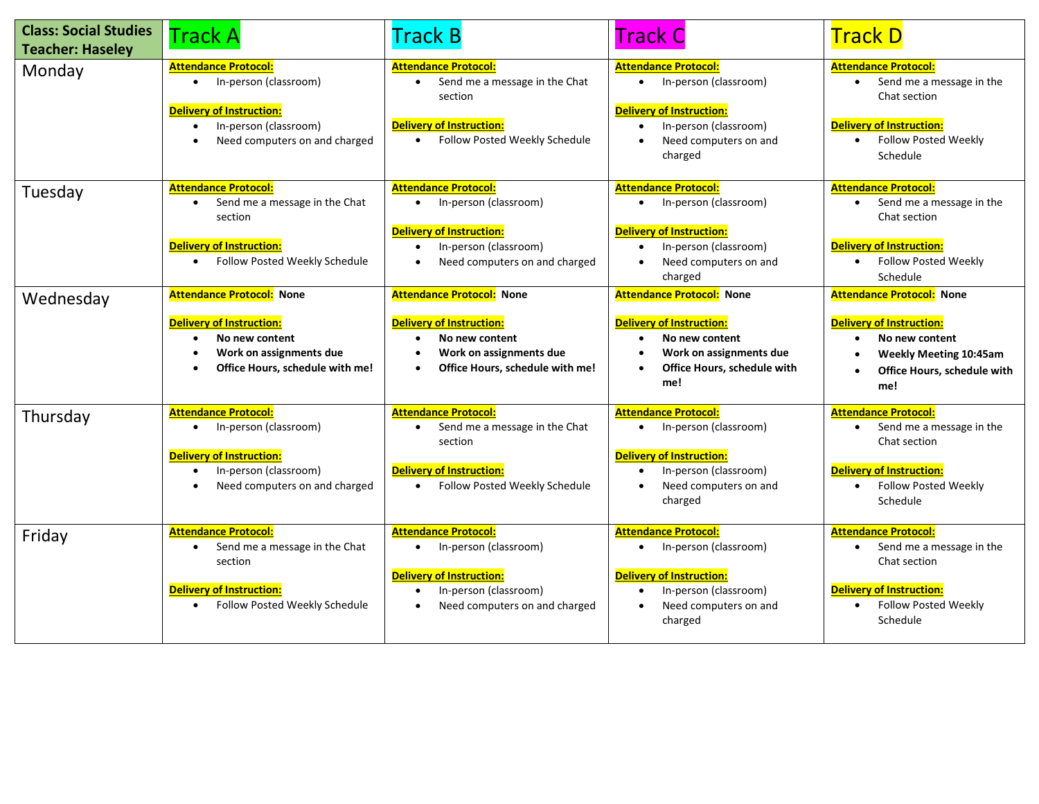| <b>Class: Social Studies</b><br><b>Teacher: Haseley</b> | <b>Track A</b>                                                                                                                                                                    | <b>Track B</b>                                                                                                                                           | <b>Track C</b>                                                                                                                                                                 | <b>Track D</b>                                                                                                                                                                  |
|---------------------------------------------------------|-----------------------------------------------------------------------------------------------------------------------------------------------------------------------------------|----------------------------------------------------------------------------------------------------------------------------------------------------------|--------------------------------------------------------------------------------------------------------------------------------------------------------------------------------|---------------------------------------------------------------------------------------------------------------------------------------------------------------------------------|
| Monday                                                  | <b>Attendance Protocol:</b><br>In-person (classroom)<br>$\bullet$<br>Delivery of Instruction:<br>In-person (classroom)<br>$\bullet$<br>Need computers on and charged<br>$\bullet$ | <b>Attendance Protocol:</b><br>Send me a message in the Chat<br>section<br><b>Delivery of Instruction:</b><br>Follow Posted Weekly Schedule<br>$\bullet$ | <b>Attendance Protocol:</b><br>In-person (classroom)<br>$\bullet$<br><b>Delivery of Instruction:</b><br>In-person (classroom)<br>$\bullet$<br>Need computers on and<br>charged | <b>Attendance Protocol:</b><br>Send me a message in the<br>$\bullet$<br>Chat section<br><b>Delivery of Instruction:</b><br><b>Follow Posted Weekly</b><br>$\bullet$<br>Schedule |
| Tuesday                                                 | <b>Attendance Protocol:</b><br>Send me a message in the Chat<br>section<br><b>Delivery of Instruction:</b><br>Follow Posted Weekly Schedule                                       | <b>Attendance Protocol:</b><br>In-person (classroom)<br><b>Delivery of Instruction:</b><br>In-person (classroom)<br>Need computers on and charged        | <b>Attendance Protocol:</b><br>In-person (classroom)<br><b>Delivery of Instruction:</b><br>In-person (classroom)<br>$\bullet$<br>Need computers on and<br>charged              | <b>Attendance Protocol:</b><br>Send me a message in the<br>Chat section<br><b>Delivery of Instruction:</b><br><b>Follow Posted Weekly</b><br>$\bullet$<br>Schedule              |
| Wednesday                                               | <b>Attendance Protocol: None</b><br><b>Delivery of Instruction:</b><br>No new content<br>Work on assignments due<br>Office Hours, schedule with me!                               | <b>Attendance Protocol:</b> None<br><b>Delivery of Instruction:</b><br>No new content<br>Work on assignments due<br>Office Hours, schedule with me!      | <b>Attendance Protocol: None</b><br><b>Delivery of Instruction:</b><br>No new content<br>Work on assignments due<br>Office Hours, schedule with<br>me!                         | <b>Attendance Protocol: None</b><br><b>Delivery of Instruction:</b><br>No new content<br><b>Weekly Meeting 10:45am</b><br>Office Hours, schedule with<br>me!                    |
| Thursday                                                | <b>Attendance Protocol:</b><br>In-person (classroom)<br>$\bullet$<br><b>Delivery of Instruction:</b><br>In-person (classroom)<br>Need computers on and charged<br>$\bullet$       | <b>Attendance Protocol:</b><br>Send me a message in the Chat<br>section<br><b>Delivery of Instruction:</b><br>Follow Posted Weekly Schedule              | <b>Attendance Protocol:</b><br>In-person (classroom)<br><b>Delivery of Instruction:</b><br>In-person (classroom)<br>Need computers on and<br>charged                           | <b>Attendance Protocol:</b><br>Send me a message in the<br>Chat section<br><b>Delivery of Instruction:</b><br><b>Follow Posted Weekly</b><br>$\bullet$<br>Schedule              |
| Friday                                                  | <b>Attendance Protocol:</b><br>Send me a message in the Chat<br>section<br>Delivery of Instruction:<br>Follow Posted Weekly Schedule                                              | <b>Attendance Protocol:</b><br>In-person (classroom)<br><b>Delivery of Instruction:</b><br>In-person (classroom)<br>Need computers on and charged        | <b>Attendance Protocol:</b><br>In-person (classroom)<br><b>Delivery of Instruction:</b><br>In-person (classroom)<br>$\bullet$<br>Need computers on and<br>charged              | <b>Attendance Protocol:</b><br>Send me a message in the<br>$\bullet$<br>Chat section<br><b>Delivery of Instruction:</b><br><b>Follow Posted Weekly</b><br>Schedule              |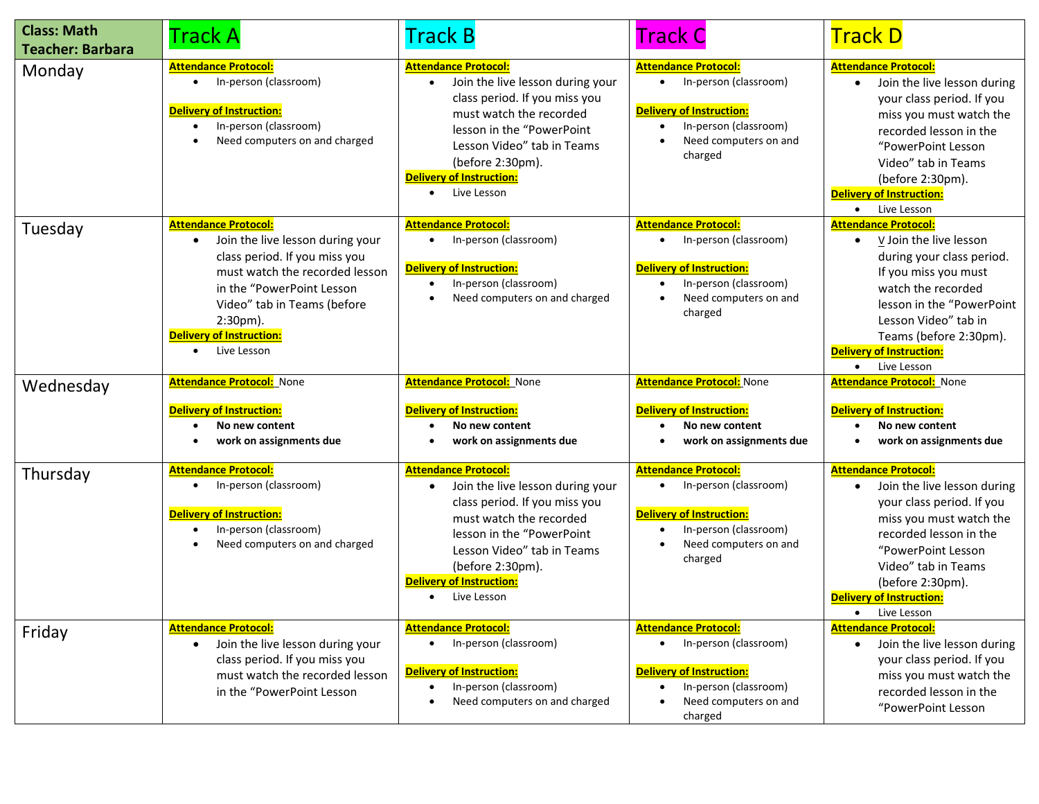| <b>Class: Math</b><br><b>Teacher: Barbara</b> | Track A                                                                                                                                                                                                                                                                      | Track B                                                                                                                                                                                                                                                      | <b>Track C</b>                                                                                                                                                    | <b>Track D</b>                                                                                                                                                                                                                                                                                            |
|-----------------------------------------------|------------------------------------------------------------------------------------------------------------------------------------------------------------------------------------------------------------------------------------------------------------------------------|--------------------------------------------------------------------------------------------------------------------------------------------------------------------------------------------------------------------------------------------------------------|-------------------------------------------------------------------------------------------------------------------------------------------------------------------|-----------------------------------------------------------------------------------------------------------------------------------------------------------------------------------------------------------------------------------------------------------------------------------------------------------|
| Monday                                        | <b>Attendance Protocol:</b><br>In-person (classroom)<br>$\bullet$<br>Delivery of Instruction:<br>In-person (classroom)<br>$\bullet$<br>Need computers on and charged                                                                                                         | <b>Attendance Protocol:</b><br>Join the live lesson during your<br>class period. If you miss you<br>must watch the recorded<br>lesson in the "PowerPoint<br>Lesson Video" tab in Teams<br>(before 2:30pm).<br><b>Delivery of Instruction:</b><br>Live Lesson | <b>Attendance Protocol:</b><br>In-person (classroom)<br><b>Delivery of Instruction:</b><br>In-person (classroom)<br>Need computers on and<br>charged              | <b>Attendance Protocol:</b><br>Join the live lesson during<br>$\bullet$<br>your class period. If you<br>miss you must watch the<br>recorded lesson in the<br>"PowerPoint Lesson<br>Video" tab in Teams<br>(before 2:30pm).<br><b>Delivery of Instruction:</b><br>Live Lesson<br>$\bullet$                 |
| Tuesday                                       | <b>Attendance Protocol:</b><br>Join the live lesson during your<br>$\bullet$<br>class period. If you miss you<br>must watch the recorded lesson<br>in the "PowerPoint Lesson<br>Video" tab in Teams (before<br>$2:30pm$ ).<br><b>Delivery of Instruction:</b><br>Live Lesson | <b>Attendance Protocol:</b><br>In-person (classroom)<br><b>Delivery of Instruction:</b><br>In-person (classroom)<br>Need computers on and charged                                                                                                            | <b>Attendance Protocol:</b><br>In-person (classroom)<br><b>Delivery of Instruction:</b><br>In-person (classroom)<br>Need computers on and<br>charged              | <b>Attendance Protocol:</b><br>$\underline{V}$ Join the live lesson<br>$\bullet$<br>during your class period.<br>If you miss you must<br>watch the recorded<br>lesson in the "PowerPoint<br>Lesson Video" tab in<br>Teams (before 2:30pm).<br><b>Delivery of Instruction:</b><br>Live Lesson<br>$\bullet$ |
| Wednesday                                     | <b>Attendance Protocol:</b> None                                                                                                                                                                                                                                             | Attendance Protocol: None                                                                                                                                                                                                                                    | <b>Attendance Protocol:</b> None                                                                                                                                  | <b>Attendance Protocol: None</b>                                                                                                                                                                                                                                                                          |
|                                               | Delivery of Instruction:<br>No new content                                                                                                                                                                                                                                   | <b>Delivery of Instruction:</b><br>No new content                                                                                                                                                                                                            | <b>Delivery of Instruction:</b><br>No new content                                                                                                                 | <b>Delivery of Instruction:</b><br>No new content<br>$\bullet$                                                                                                                                                                                                                                            |
|                                               | work on assignments due                                                                                                                                                                                                                                                      | work on assignments due                                                                                                                                                                                                                                      | work on assignments due                                                                                                                                           | work on assignments due                                                                                                                                                                                                                                                                                   |
| Thursday                                      | <b>Attendance Protocol:</b><br>In-person (classroom)<br>$\bullet$<br><b>Delivery of Instruction:</b><br>In-person (classroom)<br>$\bullet$<br>Need computers on and charged                                                                                                  | <b>Attendance Protocol:</b><br>Join the live lesson during your<br>class period. If you miss you<br>must watch the recorded<br>lesson in the "PowerPoint<br>Lesson Video" tab in Teams<br>(before 2:30pm).<br><b>Delivery of Instruction:</b><br>Live Lesson | <b>Attendance Protocol:</b><br>In-person (classroom)<br>$\bullet$<br><b>Delivery of Instruction:</b><br>In-person (classroom)<br>Need computers on and<br>charged | <b>Attendance Protocol:</b><br>Join the live lesson during<br>$\bullet$<br>your class period. If you<br>miss you must watch the<br>recorded lesson in the<br>"PowerPoint Lesson<br>Video" tab in Teams<br>(before 2:30pm).<br><b>Delivery of Instruction:</b><br>Live Lesson<br>$\bullet$                 |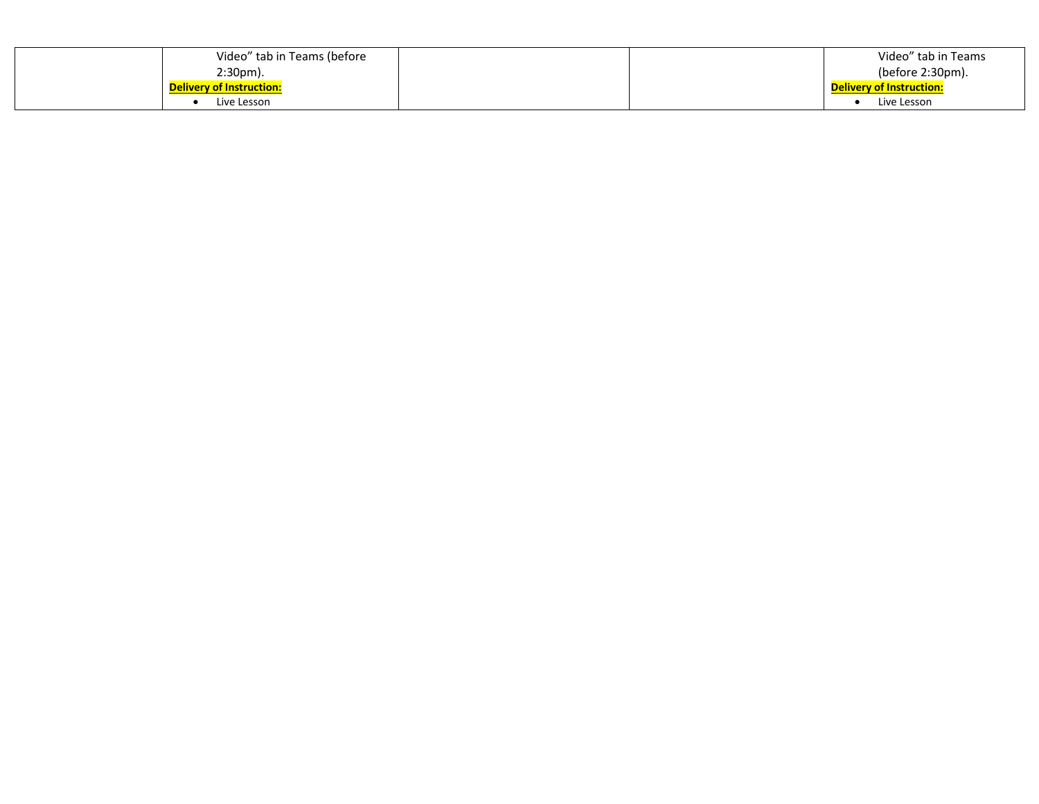| Video" tab in Teams (before     |  | Video" tab in Teams             |
|---------------------------------|--|---------------------------------|
| $2:30pm$ ).                     |  | (before 2:30pm).                |
| <b>Delivery of Instruction:</b> |  | <b>Delivery of Instruction:</b> |
| Live Lesson                     |  | Live Lesson                     |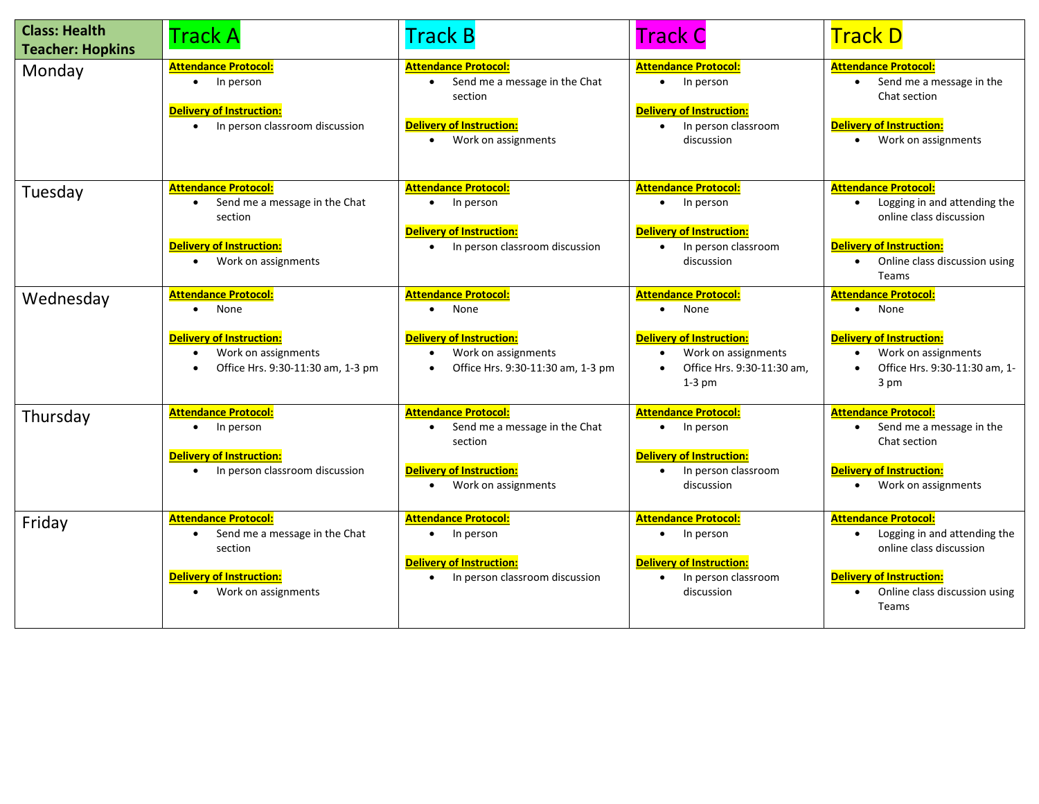| <b>Class: Health</b><br><b>Teacher: Hopkins</b> | <b>Track A</b>                                                                                                                                 | <b>Track B</b>                                                                                                                                   | <b>Track C</b>                                                                                                                          | <b>Track D</b>                                                                                                                                                                   |
|-------------------------------------------------|------------------------------------------------------------------------------------------------------------------------------------------------|--------------------------------------------------------------------------------------------------------------------------------------------------|-----------------------------------------------------------------------------------------------------------------------------------------|----------------------------------------------------------------------------------------------------------------------------------------------------------------------------------|
| Monday                                          | <b>Attendance Protocol:</b><br>In person<br>$\bullet$<br><b>Delivery of Instruction:</b><br>In person classroom discussion                     | <b>Attendance Protocol:</b><br>Send me a message in the Chat<br>$\bullet$<br>section<br><b>Delivery of Instruction:</b><br>• Work on assignments | <b>Attendance Protocol:</b><br>In person<br>$\bullet$<br><b>Delivery of Instruction:</b><br>In person classroom<br>discussion           | <b>Attendance Protocol:</b><br>Send me a message in the<br>$\bullet$<br>Chat section<br><b>Delivery of Instruction:</b><br>• Work on assignments                                 |
| Tuesday                                         | <b>Attendance Protocol:</b><br>Send me a message in the Chat<br>section<br>Delivery of Instruction:<br>Work on assignments<br>$\bullet$        | <b>Attendance Protocol:</b><br>$\bullet$ In person<br><b>Delivery of Instruction:</b><br>• In person classroom discussion                        | <b>Attendance Protocol:</b><br>In person<br>$\bullet$<br>Delivery of Instruction:<br>In person classroom<br>discussion                  | <b>Attendance Protocol:</b><br>Logging in and attending the<br>online class discussion<br><b>Delivery of Instruction:</b><br>Online class discussion using<br>$\bullet$<br>Teams |
| Wednesday                                       | <b>Attendance Protocol:</b><br>None<br>Delivery of Instruction:<br>Work on assignments<br>$\bullet$<br>Office Hrs. 9:30-11:30 am, 1-3 pm       | <b>Attendance Protocol:</b><br>None<br>$\bullet$<br><b>Delivery of Instruction:</b><br>Work on assignments<br>Office Hrs. 9:30-11:30 am, 1-3 pm  | <b>Attendance Protocol:</b><br>None<br><b>Delivery of Instruction:</b><br>Work on assignments<br>Office Hrs. 9:30-11:30 am,<br>$1-3$ pm | <b>Attendance Protocol:</b><br>None<br>$\bullet$<br><b>Delivery of Instruction:</b><br>Work on assignments<br>$\bullet$<br>Office Hrs. 9:30-11:30 am, 1-<br>3 pm                 |
| Thursday                                        | <b>Attendance Protocol:</b><br>In person<br>Delivery of Instruction:<br>In person classroom discussion<br>$\bullet$                            | <b>Attendance Protocol:</b><br>Send me a message in the Chat<br>section<br><b>Delivery of Instruction:</b><br>Work on assignments<br>$\bullet$   | <b>Attendance Protocol:</b><br>In person<br>Delivery of Instruction:<br>In person classroom<br>discussion                               | <b>Attendance Protocol:</b><br>Send me a message in the<br>Chat section<br><b>Delivery of Instruction:</b><br>Work on assignments                                                |
| Friday                                          | <b>Attendance Protocol:</b><br>Send me a message in the Chat<br>section<br><b>Delivery of Instruction:</b><br>Work on assignments<br>$\bullet$ | <b>Attendance Protocol:</b><br>$\bullet$ In person<br><b>Delivery of Instruction:</b><br>In person classroom discussion                          | <b>Attendance Protocol:</b><br>In person<br><b>Delivery of Instruction:</b><br>In person classroom<br>discussion                        | <b>Attendance Protocol:</b><br>Logging in and attending the<br>online class discussion<br><b>Delivery of Instruction:</b><br>Online class discussion using<br><b>Teams</b>       |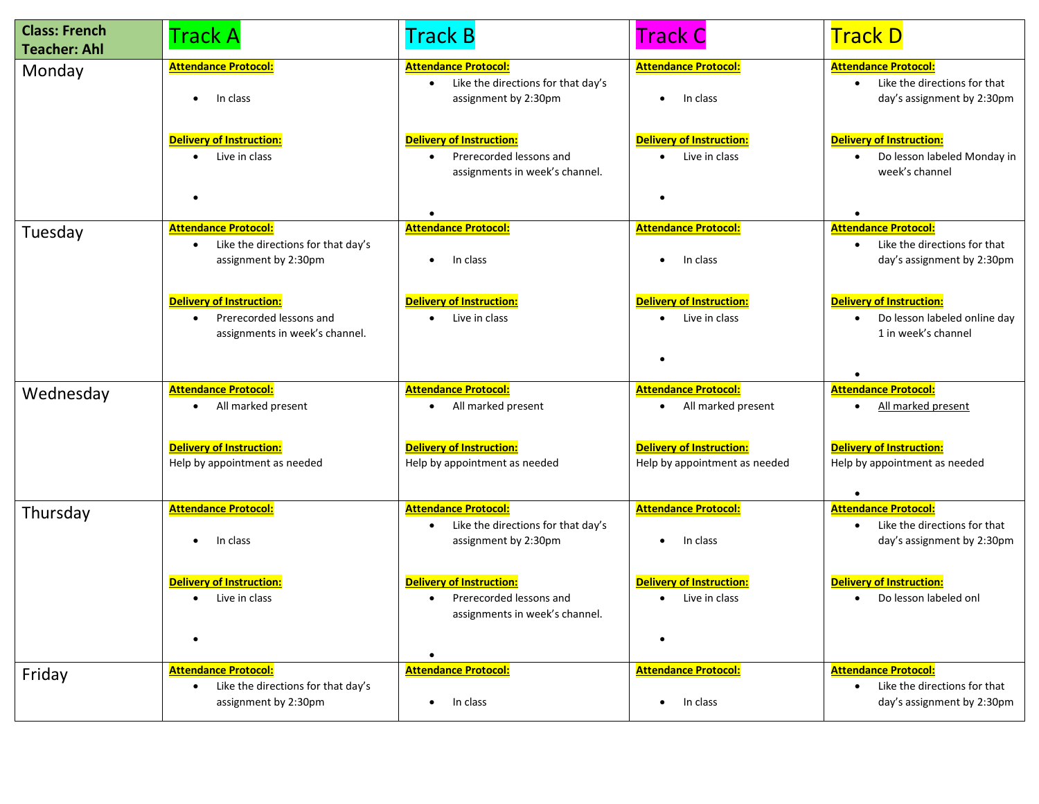| <b>Class: French</b><br><b>Teacher: Ahl</b> | <b>Track A</b>                                                                                         | <b>Track B</b>                                                                                            | <b>Track C</b>                                                   | <b>Track D</b>                                                                                         |
|---------------------------------------------|--------------------------------------------------------------------------------------------------------|-----------------------------------------------------------------------------------------------------------|------------------------------------------------------------------|--------------------------------------------------------------------------------------------------------|
| Monday                                      | <b>Attendance Protocol:</b><br>In class<br>$\bullet$                                                   | <b>Attendance Protocol:</b><br>Like the directions for that day's<br>$\bullet$<br>assignment by 2:30pm    | <b>Attendance Protocol:</b><br>In class                          | <b>Attendance Protocol:</b><br>• Like the directions for that<br>day's assignment by 2:30pm            |
|                                             | <b>Delivery of Instruction:</b><br>Live in class<br>$\bullet$                                          | <b>Delivery of Instruction:</b><br>Prerecorded lessons and<br>$\bullet$<br>assignments in week's channel. | <b>Delivery of Instruction:</b><br>• Live in class               | <b>Delivery of Instruction:</b><br>Do lesson labeled Monday in<br>$\bullet$<br>week's channel          |
|                                             |                                                                                                        |                                                                                                           |                                                                  | $\bullet$                                                                                              |
| Tuesday                                     | <b>Attendance Protocol:</b><br>Like the directions for that day's<br>$\bullet$<br>assignment by 2:30pm | <b>Attendance Protocol:</b><br>In class                                                                   | <b>Attendance Protocol:</b><br>In class                          | <b>Attendance Protocol:</b><br>Like the directions for that<br>$\bullet$<br>day's assignment by 2:30pm |
|                                             | <b>Delivery of Instruction:</b><br>Prerecorded lessons and<br>assignments in week's channel.           | <b>Delivery of Instruction:</b><br>Live in class                                                          | <b>Delivery of Instruction:</b><br>Live in class                 | <b>Delivery of Instruction:</b><br>Do lesson labeled online day<br>$\bullet$<br>1 in week's channel    |
| Wednesday                                   | <b>Attendance Protocol:</b><br>All marked present<br>$\bullet$                                         | <b>Attendance Protocol:</b><br>All marked present                                                         | <b>Attendance Protocol:</b><br>All marked present                | <b>Attendance Protocol:</b><br>All marked present<br>$\bullet$                                         |
|                                             | <b>Delivery of Instruction:</b><br>Help by appointment as needed                                       | <b>Delivery of Instruction:</b><br>Help by appointment as needed                                          | <b>Delivery of Instruction:</b><br>Help by appointment as needed | <b>Delivery of Instruction:</b><br>Help by appointment as needed<br>$\bullet$                          |
| Thursday                                    | <b>Attendance Protocol:</b><br>In class<br>$\bullet$                                                   | <b>Attendance Protocol:</b><br>Like the directions for that day's<br>assignment by 2:30pm                 | <b>Attendance Protocol:</b><br>In class                          | <b>Attendance Protocol:</b><br>Like the directions for that<br>$\bullet$<br>day's assignment by 2:30pm |
|                                             | Delivery of Instruction:<br>Live in class<br>$\bullet$<br>$\bullet$                                    | <b>Delivery of Instruction:</b><br>• Prerecorded lessons and<br>assignments in week's channel.            | Delivery of Instruction:<br>• Live in class                      | <b>Delivery of Instruction:</b><br>• Do lesson labeled onl                                             |
|                                             |                                                                                                        |                                                                                                           |                                                                  |                                                                                                        |
| Friday                                      | <b>Attendance Protocol:</b><br>Like the directions for that day's<br>$\bullet$<br>assignment by 2:30pm | <b>Attendance Protocol:</b><br>In class<br>$\bullet$                                                      | <b>Attendance Protocol:</b><br>In class<br>$\bullet$             | <b>Attendance Protocol:</b><br>Like the directions for that<br>$\bullet$<br>day's assignment by 2:30pm |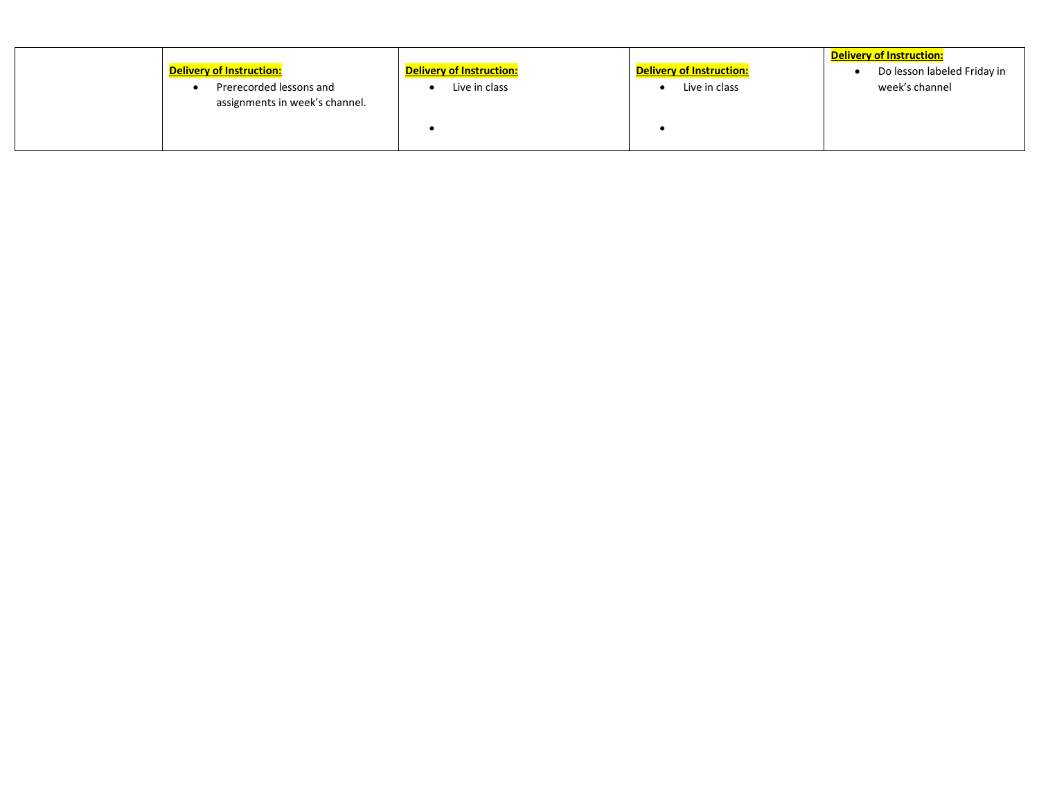| <b>Delivery of Instruction:</b><br>Prerecorded lessons and<br>assignments in week's channel. | <b>Delivery of Instruction:</b><br>Live in class | <b>Delivery of Instruction:</b><br>Live in class | <b>Delivery of Instruction:</b><br>Do lesson labeled Friday in<br>week's channel |
|----------------------------------------------------------------------------------------------|--------------------------------------------------|--------------------------------------------------|----------------------------------------------------------------------------------|
|----------------------------------------------------------------------------------------------|--------------------------------------------------|--------------------------------------------------|----------------------------------------------------------------------------------|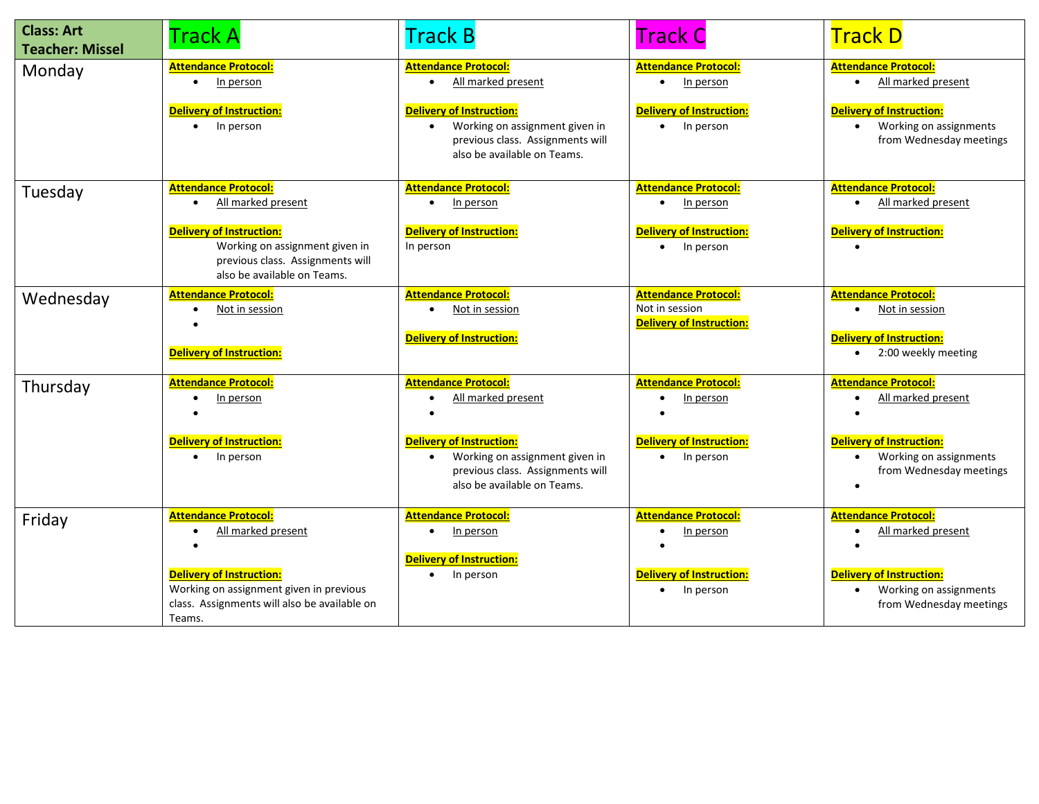| <b>Class: Art</b><br><b>Teacher: Missel</b> | <b>Track A</b>                                                                                                                                                                                         | <b>Track B</b>                                                                                                                                                                            | <b>Track C</b>                                                                           | <b>Track D</b>                                                                                                                                                      |
|---------------------------------------------|--------------------------------------------------------------------------------------------------------------------------------------------------------------------------------------------------------|-------------------------------------------------------------------------------------------------------------------------------------------------------------------------------------------|------------------------------------------------------------------------------------------|---------------------------------------------------------------------------------------------------------------------------------------------------------------------|
| Monday                                      | <b>Attendance Protocol:</b><br>In person<br>$\bullet$<br><b>Delivery of Instruction:</b><br>$\bullet$ In person                                                                                        | <b>Attendance Protocol:</b><br>All marked present<br><b>Delivery of Instruction:</b><br>Working on assignment given in<br>previous class. Assignments will<br>also be available on Teams. | <b>Attendance Protocol:</b><br>In person<br><b>Delivery of Instruction:</b><br>In person | <b>Attendance Protocol:</b><br>All marked present<br>$\bullet$<br><b>Delivery of Instruction:</b><br>Working on assignments<br>$\bullet$<br>from Wednesday meetings |
| Tuesday                                     | <b>Attendance Protocol:</b><br>All marked present<br>$\bullet$<br><b>Delivery of Instruction:</b><br>Working on assignment given in<br>previous class. Assignments will<br>also be available on Teams. | <b>Attendance Protocol:</b><br>In person<br>$\bullet$<br><b>Delivery of Instruction:</b><br>In person                                                                                     | <b>Attendance Protocol:</b><br>In person<br><b>Delivery of Instruction:</b><br>In person | <b>Attendance Protocol:</b><br>All marked present<br>$\bullet$<br><b>Delivery of Instruction:</b>                                                                   |
| Wednesday                                   | <b>Attendance Protocol:</b><br>Not in session<br>$\bullet$<br><b>Delivery of Instruction:</b>                                                                                                          | <b>Attendance Protocol:</b><br>Not in session<br><b>Delivery of Instruction:</b>                                                                                                          | <b>Attendance Protocol:</b><br>Not in session<br><b>Delivery of Instruction:</b>         | <b>Attendance Protocol:</b><br>Not in session<br>$\bullet$<br><b>Delivery of Instruction:</b><br>2:00 weekly meeting<br>$\bullet$                                   |
| Thursday                                    | <b>Attendance Protocol:</b><br>In person<br>$\bullet$<br><b>Delivery of Instruction:</b><br>In person                                                                                                  | <b>Attendance Protocol:</b><br>All marked present<br><b>Delivery of Instruction:</b><br>Working on assignment given in<br>previous class. Assignments will<br>also be available on Teams. | <b>Attendance Protocol:</b><br>In person<br><b>Delivery of Instruction:</b><br>In person | <b>Attendance Protocol:</b><br>All marked present<br><b>Delivery of Instruction:</b><br>Working on assignments<br>$\bullet$<br>from Wednesday meetings              |
| Friday                                      | <b>Attendance Protocol:</b><br>All marked present<br>$\bullet$<br><b>Delivery of Instruction:</b><br>Working on assignment given in previous<br>class. Assignments will also be available on<br>Teams. | <b>Attendance Protocol:</b><br>In person<br><b>Delivery of Instruction:</b><br>In person                                                                                                  | <b>Attendance Protocol:</b><br>In person<br><b>Delivery of Instruction:</b><br>In person | <b>Attendance Protocol:</b><br>All marked present<br><b>Delivery of Instruction:</b><br>Working on assignments<br>$\bullet$<br>from Wednesday meetings              |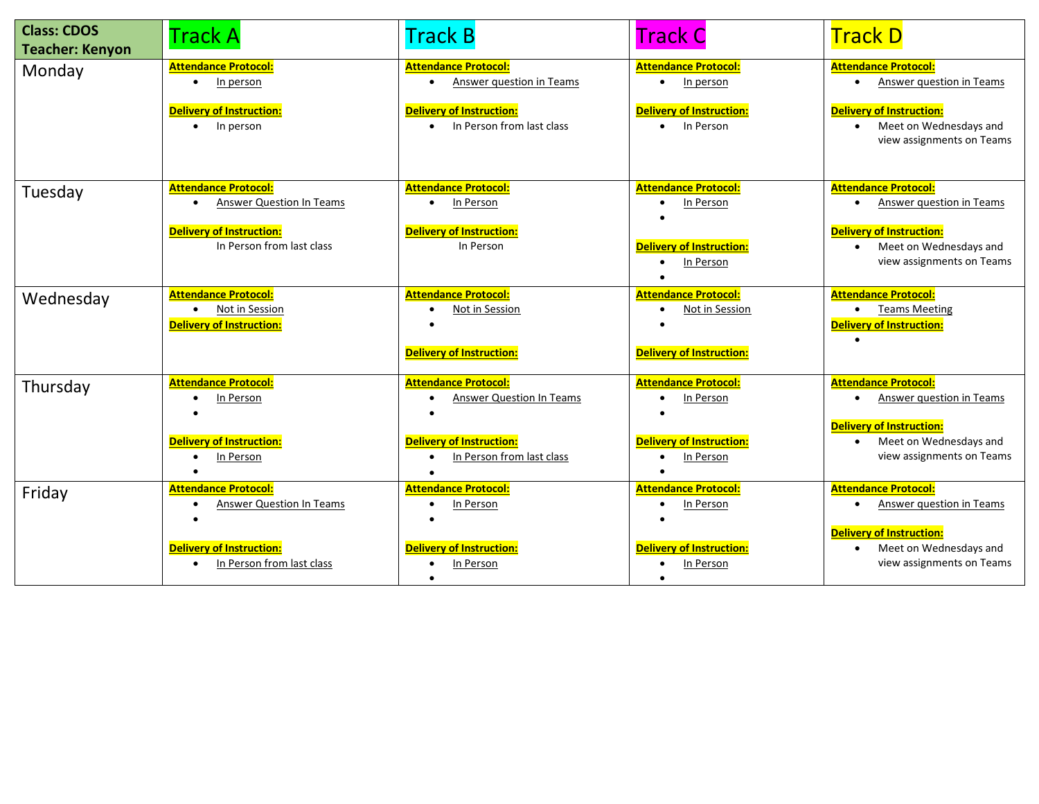| <b>Class: CDOS</b><br><b>Teacher: Kenyon</b> | <b>Track A</b>                                                                                       | <b>Track B</b>                                                                   | <b>Track C</b>                                                                   | <b>Track D</b>                                                                                                 |
|----------------------------------------------|------------------------------------------------------------------------------------------------------|----------------------------------------------------------------------------------|----------------------------------------------------------------------------------|----------------------------------------------------------------------------------------------------------------|
| Monday                                       | <b>Attendance Protocol:</b><br>In person<br>$\bullet$                                                | <b>Attendance Protocol:</b><br><b>Answer question in Teams</b>                   | <b>Attendance Protocol:</b><br>In person<br>$\bullet$                            | <b>Attendance Protocol:</b><br>Answer question in Teams<br>$\bullet$                                           |
|                                              | <b>Delivery of Instruction:</b><br>In person<br>$\bullet$                                            | <b>Delivery of Instruction:</b><br>In Person from last class<br>$\bullet$        | <b>Delivery of Instruction:</b><br>In Person<br>$\bullet$                        | <b>Delivery of Instruction:</b><br>• Meet on Wednesdays and<br>view assignments on Teams                       |
| Tuesday                                      | <b>Attendance Protocol:</b><br><b>Answer Question In Teams</b><br>$\bullet$                          | <b>Attendance Protocol:</b><br>In Person<br>$\bullet$                            | <b>Attendance Protocol:</b><br>In Person                                         | <b>Attendance Protocol:</b><br><b>Answer question in Teams</b><br>$\bullet$                                    |
|                                              | <b>Delivery of Instruction:</b><br>In Person from last class                                         | <b>Delivery of Instruction:</b><br>In Person                                     | <b>Delivery of Instruction:</b><br>In Person<br>$\bullet$                        | <b>Delivery of Instruction:</b><br>Meet on Wednesdays and<br>$\bullet$<br>view assignments on Teams            |
| Wednesday                                    | <b>Attendance Protocol:</b><br><b>Not in Session</b><br>$\bullet$<br><b>Delivery of Instruction:</b> | <b>Attendance Protocol:</b><br>Not in Session<br><b>Delivery of Instruction:</b> | <b>Attendance Protocol:</b><br>Not in Session<br><b>Delivery of Instruction:</b> | <b>Attendance Protocol:</b><br>• Teams Meeting<br><b>Delivery of Instruction:</b>                              |
| Thursday                                     | <b>Attendance Protocol:</b><br>In Person<br>$\bullet$                                                | <b>Attendance Protocol:</b><br><b>Answer Question In Teams</b>                   | <b>Attendance Protocol:</b><br>In Person                                         | <b>Attendance Protocol:</b><br><b>Answer question in Teams</b><br>$\bullet$<br><b>Delivery of Instruction:</b> |
|                                              | <b>Delivery of Instruction:</b><br>In Person<br>$\bullet$                                            | Delivery of Instruction:<br>In Person from last class                            | <b>Delivery of Instruction:</b><br>In Person                                     | Meet on Wednesdays and<br>$\bullet$<br>view assignments on Teams                                               |
| Friday                                       | <b>Attendance Protocol:</b><br><b>Answer Question In Teams</b><br>$\bullet$                          | <b>Attendance Protocol:</b><br>In Person                                         | <b>Attendance Protocol:</b><br>In Person                                         | <b>Attendance Protocol:</b><br><b>Answer question in Teams</b><br>$\bullet$                                    |
|                                              | <b>Delivery of Instruction:</b><br>In Person from last class                                         | <b>Delivery of Instruction:</b><br>In Person<br>$\bullet$                        | <b>Delivery of Instruction:</b><br>In Person<br>$\bullet$                        | <b>Delivery of Instruction:</b><br>Meet on Wednesdays and<br>$\bullet$<br>view assignments on Teams            |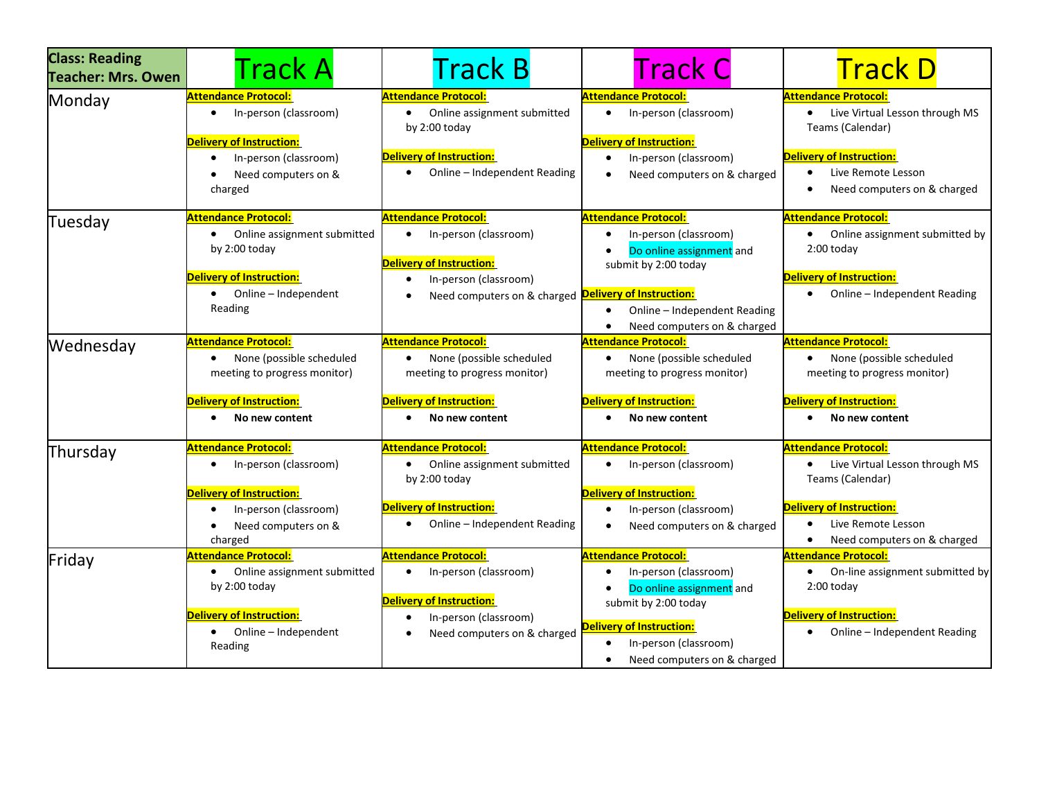| <b>Class: Reading</b><br><b>Teacher: Mrs. Owen</b> | <b>Track A</b>                                                                                                                                                               | <b>Track B</b>                                                                                                                                                                  | <b>Track C</b>                                                                                                                                                                                                                             | <b>Track D</b>                                                                                                                                                                                      |
|----------------------------------------------------|------------------------------------------------------------------------------------------------------------------------------------------------------------------------------|---------------------------------------------------------------------------------------------------------------------------------------------------------------------------------|--------------------------------------------------------------------------------------------------------------------------------------------------------------------------------------------------------------------------------------------|-----------------------------------------------------------------------------------------------------------------------------------------------------------------------------------------------------|
| Monday                                             | <b>Attendance Protocol:</b><br>In-person (classroom)<br>$\bullet$<br><b>Delivery of Instruction:</b><br>In-person (classroom)<br>$\bullet$<br>Need computers on &<br>charged | <b>Attendance Protocol:</b><br>Online assignment submitted<br>by $2:00$ today<br><b>Delivery of Instruction:</b><br>Online - Independent Reading                                | <b>Attendance Protocol:</b><br>In-person (classroom)<br>$\bullet$<br><b>Delivery of Instruction:</b><br>In-person (classroom)<br>$\bullet$<br>Need computers on & charged                                                                  | <b>Attendance Protocol:</b><br>• Live Virtual Lesson through MS<br>Teams (Calendar)<br><b>Delivery of Instruction:</b><br>Live Remote Lesson<br>Need computers on & charged                         |
| Tuesday                                            | <b>Attendance Protocol:</b><br>Online assignment submitted<br>by 2:00 today<br><b>Delivery of Instruction:</b><br>• Online - Independent<br>Reading                          | <b>Attendance Protocol:</b><br>In-person (classroom)<br><b>Delivery of Instruction:</b><br>In-person (classroom)<br>Need computers on & charged <b>Delivery of Instruction:</b> | <b>Attendance Protocol:</b><br>In-person (classroom)<br>Do online assignment and<br>submit by 2:00 today<br>Online - Independent Reading<br>$\bullet$<br>Need computers on & charged<br>$\bullet$                                          | <b>Attendance Protocol:</b><br>Online assignment submitted by<br>2:00 today<br><b>Delivery of Instruction:</b><br>• Online - Independent Reading                                                    |
| Wednesday                                          | <b>Attendance Protocol:</b><br>None (possible scheduled<br>$\bullet$<br>meeting to progress monitor)<br><b>Delivery of Instruction:</b><br>No new content                    | <b>Attendance Protocol:</b><br>None (possible scheduled<br>meeting to progress monitor)<br><b>Delivery of Instruction:</b><br>No new content                                    | <b>Attendance Protocol:</b><br>None (possible scheduled<br>$\bullet$<br>meeting to progress monitor)<br><b>Delivery of Instruction:</b><br>No new content                                                                                  | <b>Attendance Protocol:</b><br>None (possible scheduled<br>$\bullet$<br>meeting to progress monitor)<br><b>Delivery of Instruction:</b><br>No new content<br>٠                                      |
| Thursday                                           | <b>Attendance Protocol:</b><br>In-person (classroom)<br>٠<br>Delivery of Instruction:<br>In-person (classroom)<br>$\bullet$<br>Need computers on &<br>charged                | <b>Attendance Protocol:</b><br>Online assignment submitted<br>by $2:00$ today<br><b>Delivery of Instruction:</b><br>Online - Independent Reading                                | <b>Attendance Protocol:</b><br>In-person (classroom)<br>$\bullet$<br><b>Delivery of Instruction:</b><br>In-person (classroom)<br>$\bullet$<br>Need computers on & charged<br>$\bullet$                                                     | <b>Attendance Protocol:</b><br>Live Virtual Lesson through MS<br>Teams (Calendar)<br><b>Delivery of Instruction:</b><br>Live Remote Lesson<br>$\bullet$<br>Need computers on & charged<br>$\bullet$ |
| Friday                                             | <b>Attendance Protocol:</b><br>Online assignment submitted<br>$\bullet$<br>by 2:00 today<br><b>Delivery of Instruction:</b><br>Online - Independent<br>$\bullet$<br>Reading  | <b>Attendance Protocol:</b><br>In-person (classroom)<br><b>Delivery of Instruction:</b><br>In-person (classroom)<br>Need computers on & charged                                 | <b>Attendance Protocol:</b><br>In-person (classroom)<br>$\bullet$<br>Do online assignment and<br>submit by 2:00 today<br><b>Delivery of Instruction:</b><br>In-person (classroom)<br>$\bullet$<br>Need computers on & charged<br>$\bullet$ | <b>Attendance Protocol:</b><br>On-line assignment submitted by<br>$\bullet$<br>2:00 today<br><b>Delivery of Instruction:</b><br>Online - Independent Reading                                        |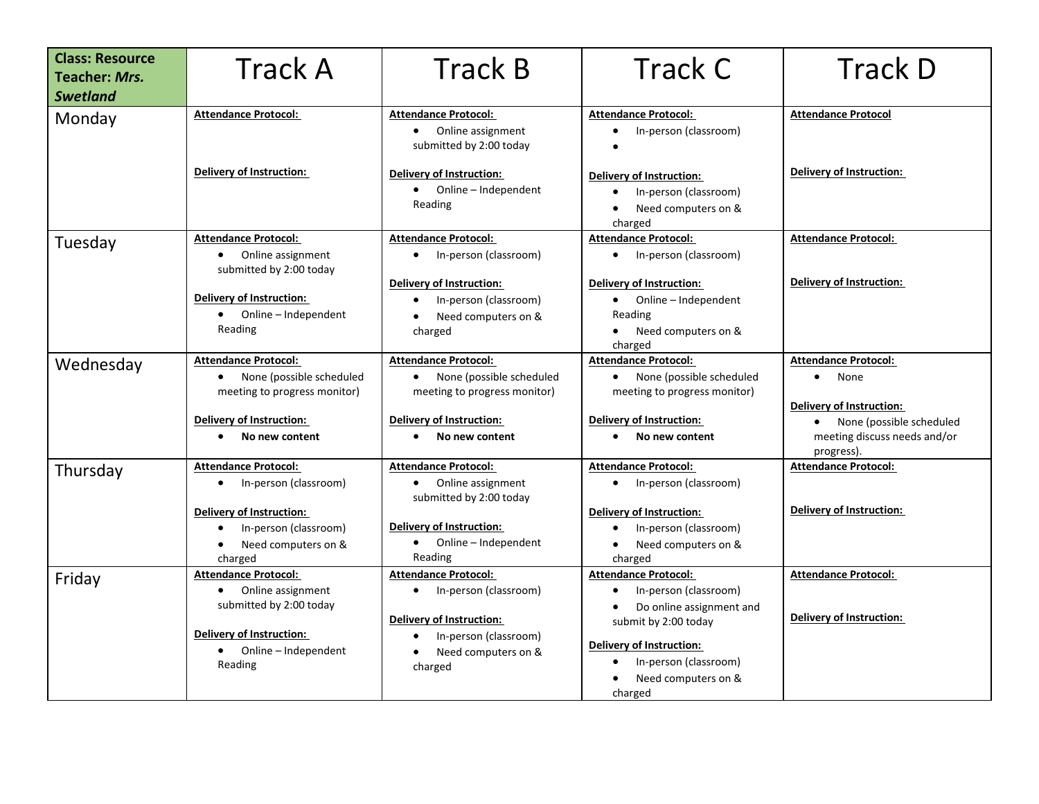| <b>Class: Resource</b><br><b>Teacher: Mrs.</b><br><b>Swetland</b> | <b>Track A</b>                                                                                                                             | <b>Track B</b>                                                                                                       | <b>Track C</b>                                                                                                     | <b>Track D</b>                                                               |
|-------------------------------------------------------------------|--------------------------------------------------------------------------------------------------------------------------------------------|----------------------------------------------------------------------------------------------------------------------|--------------------------------------------------------------------------------------------------------------------|------------------------------------------------------------------------------|
| Monday                                                            | <b>Attendance Protocol:</b>                                                                                                                | <b>Attendance Protocol:</b><br>Online assignment<br>$\bullet$<br>submitted by 2:00 today                             | <b>Attendance Protocol:</b><br>In-person (classroom)<br>$\bullet$                                                  | <b>Attendance Protocol</b>                                                   |
|                                                                   | <b>Delivery of Instruction:</b>                                                                                                            | Delivery of Instruction:<br>• Online - Independent<br>Reading                                                        | <b>Delivery of Instruction:</b><br>In-person (classroom)<br>$\bullet$<br>Need computers on &<br>charged            | Delivery of Instruction:                                                     |
| Tuesday                                                           | <b>Attendance Protocol:</b><br>Online assignment<br>$\bullet$<br>submitted by 2:00 today                                                   | <b>Attendance Protocol:</b><br>In-person (classroom)<br>$\bullet$                                                    | <b>Attendance Protocol:</b><br>• In-person (classroom)                                                             | <b>Attendance Protocol:</b>                                                  |
|                                                                   | <b>Delivery of Instruction:</b><br>• Online – Independent<br>Reading                                                                       | <b>Delivery of Instruction:</b><br>In-person (classroom)<br>Need computers on &<br>charged                           | <b>Delivery of Instruction:</b><br>• Online – Independent<br>Reading<br>Need computers on &<br>charged             | Delivery of Instruction:                                                     |
| Wednesday                                                         | <b>Attendance Protocol:</b><br>• None (possible scheduled<br>meeting to progress monitor)                                                  | <b>Attendance Protocol:</b><br>None (possible scheduled<br>$\bullet$<br>meeting to progress monitor)                 | <b>Attendance Protocol:</b><br>• None (possible scheduled<br>meeting to progress monitor)                          | <b>Attendance Protocol:</b><br>None<br>$\bullet$<br>Delivery of Instruction: |
|                                                                   | <b>Delivery of Instruction:</b><br>No new content                                                                                          | <b>Delivery of Instruction:</b><br>No new content<br>$\bullet$                                                       | <b>Delivery of Instruction:</b><br>No new content                                                                  | None (possible scheduled<br>meeting discuss needs and/or<br>progress).       |
| Thursday                                                          | <b>Attendance Protocol:</b><br>In-person (classroom)<br>$\bullet$<br><b>Delivery of Instruction:</b><br>In-person (classroom)<br>$\bullet$ | <b>Attendance Protocol:</b><br>Online assignment<br>$\bullet$<br>submitted by 2:00 today<br>Delivery of Instruction: | <b>Attendance Protocol:</b><br>• In-person (classroom)<br><b>Delivery of Instruction:</b><br>In-person (classroom) | <b>Attendance Protocol:</b><br>Delivery of Instruction:                      |
|                                                                   | Need computers on &<br>$\bullet$<br>charged                                                                                                | • Online - Independent<br>Reading                                                                                    | • Need computers on &<br>charged                                                                                   |                                                                              |
| Friday                                                            | <b>Attendance Protocol:</b><br>Online assignment<br>submitted by 2:00 today                                                                | <b>Attendance Protocol:</b><br>In-person (classroom)<br><b>Delivery of Instruction:</b>                              | <b>Attendance Protocol:</b><br>In-person (classroom)<br>Do online assignment and<br>submit by 2:00 today           | <b>Attendance Protocol:</b><br><b>Delivery of Instruction:</b>               |
|                                                                   | Delivery of Instruction:<br>• Online - Independent<br>Reading                                                                              | In-person (classroom)<br>Need computers on &<br>charged                                                              | <b>Delivery of Instruction:</b><br>In-person (classroom)<br>Need computers on &<br>charged                         |                                                                              |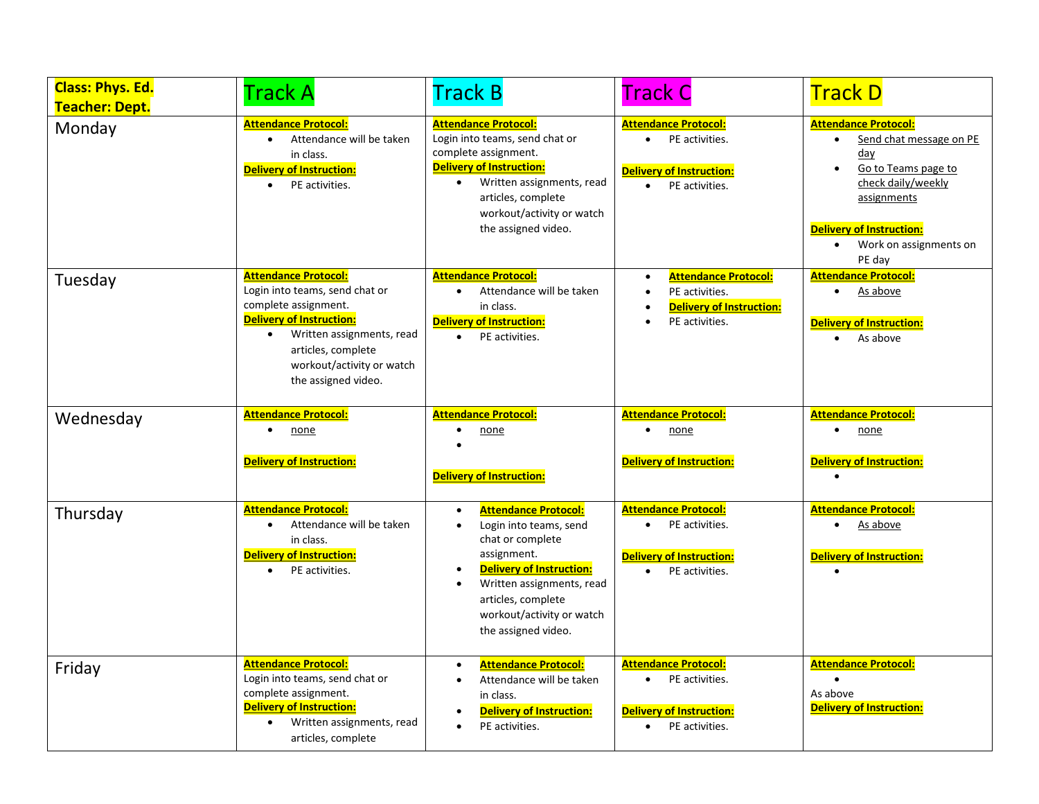| <b>Class: Phys. Ed.</b><br><b>Teacher: Dept.</b> | Track A                                                                                                                                                                                                                                      | <b>Track B</b>                                                                                                                                                                                                                                                                         | <b>Track C</b>                                                                                                                            | <b>Track D</b>                                                                                                                                                                                                             |
|--------------------------------------------------|----------------------------------------------------------------------------------------------------------------------------------------------------------------------------------------------------------------------------------------------|----------------------------------------------------------------------------------------------------------------------------------------------------------------------------------------------------------------------------------------------------------------------------------------|-------------------------------------------------------------------------------------------------------------------------------------------|----------------------------------------------------------------------------------------------------------------------------------------------------------------------------------------------------------------------------|
| Monday                                           | <b>Attendance Protocol:</b><br>Attendance will be taken<br>in class.<br><b>Delivery of Instruction:</b><br>PE activities.                                                                                                                    | <b>Attendance Protocol:</b><br>Login into teams, send chat or<br>complete assignment.<br>Delivery of Instruction:<br>Written assignments, read<br>$\bullet$<br>articles, complete<br>workout/activity or watch<br>the assigned video.                                                  | <b>Attendance Protocol:</b><br>PE activities.<br>$\bullet$<br><b>Delivery of Instruction:</b><br>PE activities.                           | <b>Attendance Protocol:</b><br>Send chat message on PE<br>day<br>Go to Teams page to<br>$\bullet$<br>check daily/weekly<br>assignments<br><b>Delivery of Instruction:</b><br>Work on assignments on<br>$\bullet$<br>PE day |
| Tuesday                                          | <b>Attendance Protocol:</b><br>Login into teams, send chat or<br>complete assignment.<br><b>Delivery of Instruction:</b><br>Written assignments, read<br>$\bullet$<br>articles, complete<br>workout/activity or watch<br>the assigned video. | <b>Attendance Protocol:</b><br>Attendance will be taken<br>$\bullet$<br>in class.<br><b>Delivery of Instruction:</b><br>PE activities.                                                                                                                                                 | <b>Attendance Protocol:</b><br>$\bullet$<br>PE activities.<br>$\bullet$<br><b>Delivery of Instruction:</b><br>PE activities.<br>$\bullet$ | <b>Attendance Protocol:</b><br>As above<br><b>Delivery of Instruction:</b><br>As above                                                                                                                                     |
| Wednesday                                        | <b>Attendance Protocol:</b><br>none<br><b>Delivery of Instruction:</b>                                                                                                                                                                       | <b>Attendance Protocol:</b><br>none<br>$\bullet$<br>Delivery of Instruction:                                                                                                                                                                                                           | <b>Attendance Protocol:</b><br>none<br>$\bullet$<br><b>Delivery of Instruction:</b>                                                       | <b>Attendance Protocol:</b><br>none<br><b>Delivery of Instruction:</b>                                                                                                                                                     |
| Thursday                                         | <b>Attendance Protocol:</b><br>Attendance will be taken<br>$\bullet$<br>in class.<br><b>Delivery of Instruction:</b><br>PE activities.<br>$\bullet$                                                                                          | <b>Attendance Protocol:</b><br>$\bullet$<br>Login into teams, send<br>$\bullet$<br>chat or complete<br>assignment.<br><b>Delivery of Instruction:</b><br>$\bullet$<br>Written assignments, read<br>$\bullet$<br>articles, complete<br>workout/activity or watch<br>the assigned video. | <b>Attendance Protocol:</b><br>PE activities.<br>$\bullet$<br><b>Delivery of Instruction:</b><br>PE activities.                           | <b>Attendance Protocol:</b><br>As above<br>$\bullet$<br><b>Delivery of Instruction:</b>                                                                                                                                    |
| Friday                                           | <b>Attendance Protocol:</b><br>Login into teams, send chat or<br>complete assignment.<br><b>Delivery of Instruction:</b><br>Written assignments, read<br>$\bullet$<br>articles, complete                                                     | <b>Attendance Protocol:</b><br>$\bullet$<br>Attendance will be taken<br>$\bullet$<br>in class.<br><b>Delivery of Instruction:</b><br>$\bullet$<br>PE activities.                                                                                                                       | <b>Attendance Protocol:</b><br>PE activities.<br>$\bullet$<br><b>Delivery of Instruction:</b><br>PE activities.                           | <b>Attendance Protocol:</b><br>As above<br><b>Delivery of Instruction:</b>                                                                                                                                                 |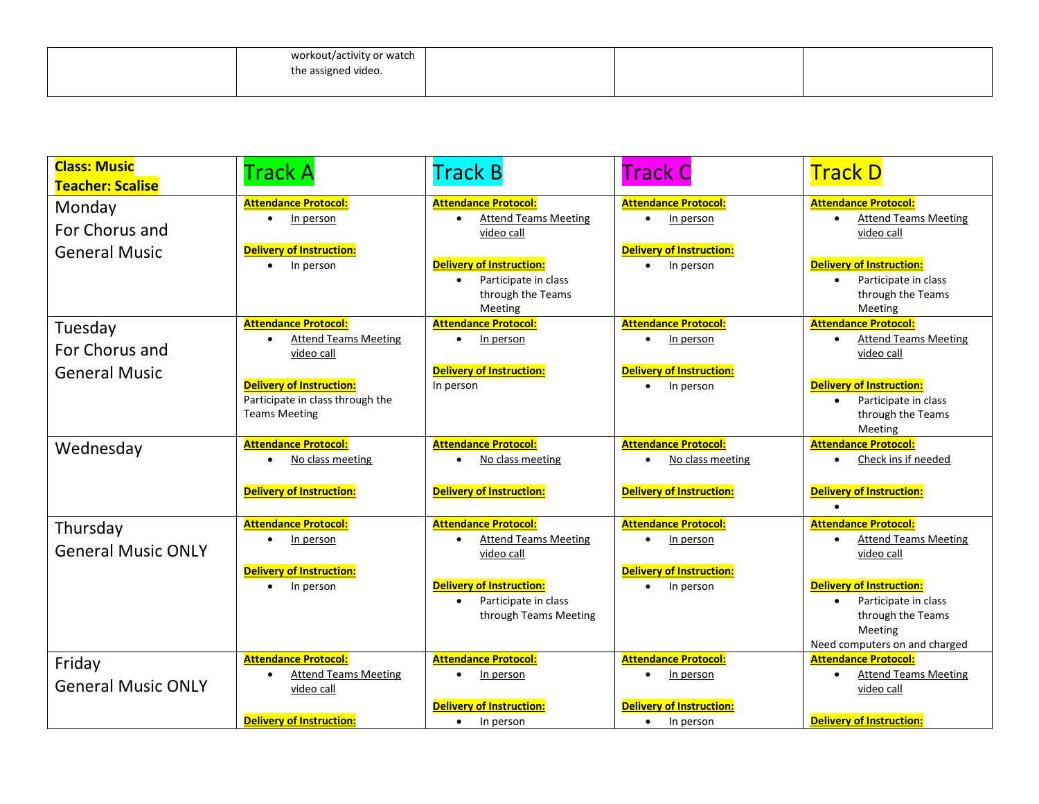| workout/activity or watch |  |  |
|---------------------------|--|--|
| the assigned video.       |  |  |
|                           |  |  |

| <b>Class: Music</b><br><b>Teacher: Scalise</b> | <b>Track A</b>                               | <b>Track B</b>                               | <b>Track C</b>                                            | <b>Track D</b>                                  |
|------------------------------------------------|----------------------------------------------|----------------------------------------------|-----------------------------------------------------------|-------------------------------------------------|
| Monday                                         | <b>Attendance Protocol:</b>                  | <b>Attendance Protocol:</b>                  | <b>Attendance Protocol:</b>                               | <b>Attendance Protocol:</b>                     |
| For Chorus and                                 | In person<br>٠                               | <b>Attend Teams Meeting</b><br>video call    | In person<br>$\bullet$                                    | <b>Attend Teams Meeting</b><br>video call       |
| <b>General Music</b>                           | <b>Delivery of Instruction:</b>              |                                              | <b>Delivery of Instruction:</b>                           |                                                 |
|                                                | In person<br>$\bullet$                       | <b>Delivery of Instruction:</b>              | In person<br>$\bullet$                                    | <b>Delivery of Instruction:</b>                 |
|                                                |                                              | Participate in class                         |                                                           | Participate in class                            |
|                                                |                                              | through the Teams<br>Meeting                 |                                                           | through the Teams<br>Meeting                    |
| Tuesday                                        | <b>Attendance Protocol:</b>                  | <b>Attendance Protocol:</b>                  | <b>Attendance Protocol:</b>                               | <b>Attendance Protocol:</b>                     |
| For Chorus and                                 | <b>Attend Teams Meeting</b>                  | In person<br>$\bullet$                       | In person<br>$\bullet$                                    | <b>Attend Teams Meeting</b>                     |
|                                                | video call                                   | Delivery of Instruction:                     | <b>Delivery of Instruction:</b>                           | video call                                      |
| <b>General Music</b>                           | <b>Delivery of Instruction:</b>              | In person                                    | In person<br>$\bullet$                                    | <b>Delivery of Instruction:</b>                 |
|                                                | Participate in class through the             |                                              |                                                           | Participate in class<br>$\bullet$               |
|                                                | <b>Teams Meeting</b>                         |                                              |                                                           | through the Teams                               |
| Wednesday                                      | <b>Attendance Protocol:</b>                  | <b>Attendance Protocol:</b>                  | <b>Attendance Protocol:</b>                               | Meeting<br><b>Attendance Protocol:</b>          |
|                                                | No class meeting                             | No class meeting                             | No class meeting                                          | Check ins if needed                             |
|                                                |                                              |                                              |                                                           |                                                 |
|                                                | <b>Delivery of Instruction:</b>              | Delivery of Instruction:                     | <b>Delivery of Instruction:</b>                           | <b>Delivery of Instruction:</b>                 |
| Thursday                                       | <b>Attendance Protocol:</b>                  | <b>Attendance Protocol:</b>                  | <b>Attendance Protocol:</b>                               | <b>Attendance Protocol:</b>                     |
| <b>General Music ONLY</b>                      | In person                                    | <b>Attend Teams Meeting</b>                  | In person<br>$\bullet$                                    | <b>Attend Teams Meeting</b>                     |
|                                                |                                              | video call                                   |                                                           | video call                                      |
|                                                | <b>Delivery of Instruction:</b><br>In person | <b>Delivery of Instruction:</b>              | <b>Delivery of Instruction:</b><br>In person<br>$\bullet$ | <b>Delivery of Instruction:</b>                 |
|                                                |                                              | Participate in class                         |                                                           | Participate in class                            |
|                                                |                                              | through Teams Meeting                        |                                                           | through the Teams                               |
|                                                |                                              |                                              |                                                           | <b>Meeting</b><br>Need computers on and charged |
| Friday                                         | <b>Attendance Protocol:</b>                  | <b>Attendance Protocol:</b>                  | <b>Attendance Protocol:</b>                               | <b>Attendance Protocol:</b>                     |
|                                                | <b>Attend Teams Meeting</b>                  | In person                                    | In person<br>$\bullet$                                    | <b>Attend Teams Meeting</b><br>$\bullet$        |
| <b>General Music ONLY</b>                      | video call                                   |                                              |                                                           | video call                                      |
|                                                | <b>Delivery of Instruction:</b>              | <b>Delivery of Instruction:</b><br>In person | <b>Delivery of Instruction:</b><br>In person<br>$\bullet$ | <b>Delivery of Instruction:</b>                 |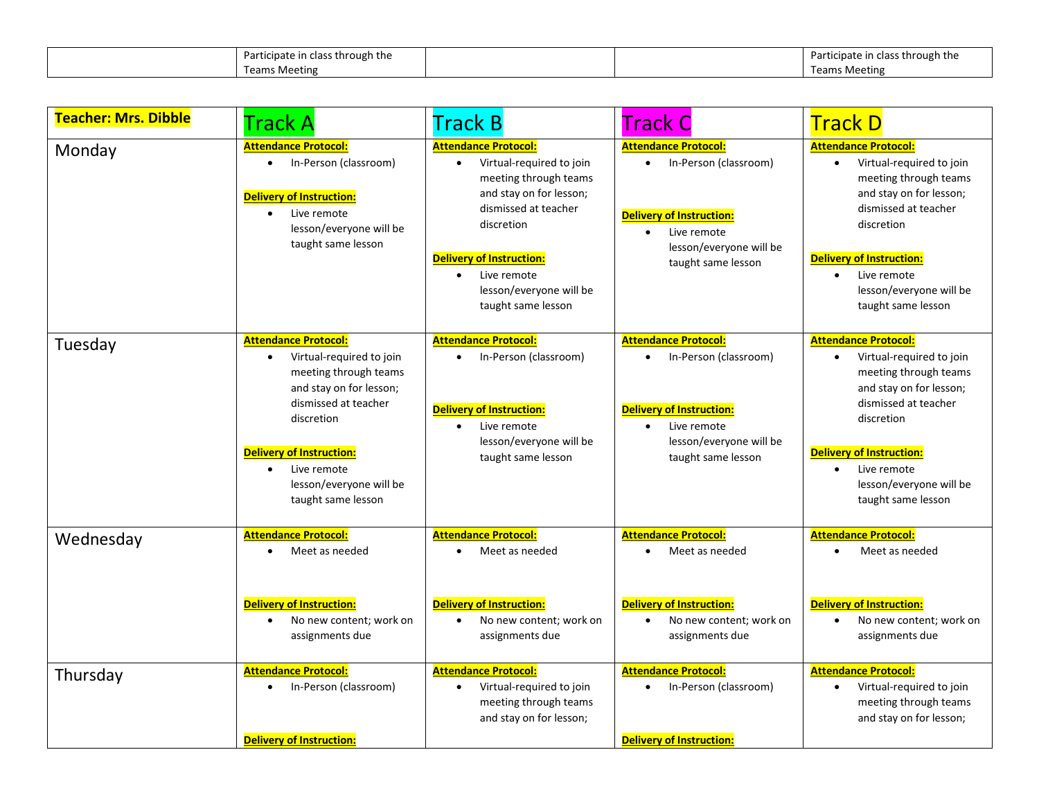| Participate in class through the |  | ficipate in class through the<br>Parti. |
|----------------------------------|--|-----------------------------------------|
| <b>Teams Meeting</b>             |  | <b>Teams Meeting</b>                    |

| <b>Teacher: Mrs. Dibble</b> | <b>Track A</b>                                                                                                                                                                                                                                                    | Track B                                                                                                                                                                                                                                                                        | <b>Track C</b>                                                                                                                                                                    | <b>Track D</b>                                                                                                                                                                                                                                                                 |
|-----------------------------|-------------------------------------------------------------------------------------------------------------------------------------------------------------------------------------------------------------------------------------------------------------------|--------------------------------------------------------------------------------------------------------------------------------------------------------------------------------------------------------------------------------------------------------------------------------|-----------------------------------------------------------------------------------------------------------------------------------------------------------------------------------|--------------------------------------------------------------------------------------------------------------------------------------------------------------------------------------------------------------------------------------------------------------------------------|
| Monday                      | <b>Attendance Protocol:</b><br>In-Person (classroom)<br>$\bullet$<br><b>Delivery of Instruction:</b><br>Live remote<br>$\bullet$<br>lesson/everyone will be<br>taught same lesson                                                                                 | <b>Attendance Protocol:</b><br>Virtual-required to join<br>$\bullet$<br>meeting through teams<br>and stay on for lesson;<br>dismissed at teacher<br>discretion<br><b>Delivery of Instruction:</b><br>Live remote<br>$\bullet$<br>lesson/everyone will be<br>taught same lesson | <b>Attendance Protocol:</b><br>In-Person (classroom)<br>$\bullet$<br><b>Delivery of Instruction:</b><br>Live remote<br>$\bullet$<br>lesson/everyone will be<br>taught same lesson | <b>Attendance Protocol:</b><br>Virtual-required to join<br>$\bullet$<br>meeting through teams<br>and stay on for lesson;<br>dismissed at teacher<br>discretion<br><b>Delivery of Instruction:</b><br>Live remote<br>$\bullet$<br>lesson/everyone will be<br>taught same lesson |
| Tuesday                     | <b>Attendance Protocol:</b><br>Virtual-required to join<br>$\bullet$<br>meeting through teams<br>and stay on for lesson;<br>dismissed at teacher<br>discretion<br><b>Delivery of Instruction:</b><br>Live remote<br>lesson/everyone will be<br>taught same lesson | <b>Attendance Protocol:</b><br>In-Person (classroom)<br>$\bullet$<br><b>Delivery of Instruction:</b><br>Live remote<br>$\bullet$<br>lesson/everyone will be<br>taught same lesson                                                                                              | <b>Attendance Protocol:</b><br>In-Person (classroom)<br>$\bullet$<br><b>Delivery of Instruction:</b><br>Live remote<br>$\bullet$<br>lesson/everyone will be<br>taught same lesson | <b>Attendance Protocol:</b><br>Virtual-required to join<br>$\bullet$<br>meeting through teams<br>and stay on for lesson;<br>dismissed at teacher<br>discretion<br><b>Delivery of Instruction:</b><br>Live remote<br>$\bullet$<br>lesson/everyone will be<br>taught same lesson |
| Wednesday                   | <b>Attendance Protocol:</b><br>Meet as needed<br>$\bullet$<br><b>Delivery of Instruction:</b><br>No new content; work on<br>assignments due                                                                                                                       | <b>Attendance Protocol:</b><br>Meet as needed<br><b>Delivery of Instruction:</b><br>No new content; work on<br>$\bullet$<br>assignments due                                                                                                                                    | <b>Attendance Protocol:</b><br>Meet as needed<br><b>Delivery of Instruction:</b><br>No new content; work on<br>$\bullet$<br>assignments due                                       | <b>Attendance Protocol:</b><br>Meet as needed<br>$\bullet$<br><b>Delivery of Instruction:</b><br>No new content; work on<br>$\bullet$<br>assignments due                                                                                                                       |
| Thursday                    | <b>Attendance Protocol:</b><br>In-Person (classroom)<br>$\bullet$<br><b>Delivery of Instruction:</b>                                                                                                                                                              | <b>Attendance Protocol:</b><br>Virtual-required to join<br>$\bullet$<br>meeting through teams<br>and stay on for lesson;                                                                                                                                                       | <b>Attendance Protocol:</b><br>In-Person (classroom)<br>$\bullet$<br><b>Delivery of Instruction:</b>                                                                              | <b>Attendance Protocol:</b><br>Virtual-required to join<br>$\bullet$<br>meeting through teams<br>and stay on for lesson;                                                                                                                                                       |